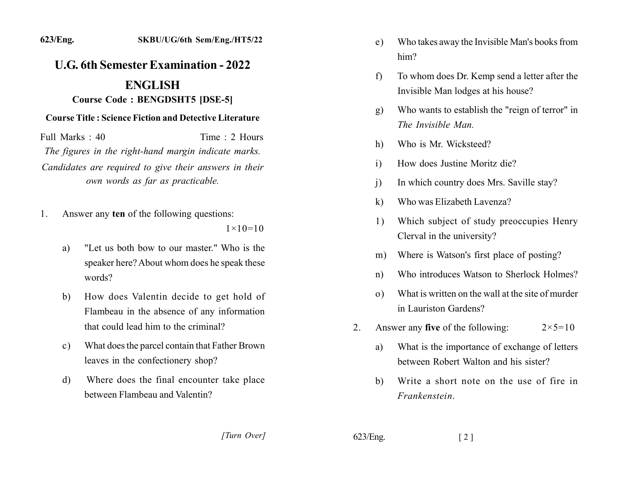## **U.G. 6th Semester Examination - 2022**

## **ENGLISH**

## **Course Code: BENGDSHT5 [DSE-5]**

## **Course Title: Science Fiction and Detective Literature**

Full Marks: 40 Time: 2 Hours The figures in the right-hand margin indicate marks. Candidates are required to give their answers in their own words as far as practicable.

Answer any ten of the following questions: 1.

 $1 \times 10 = 10$ 

- "Let us both bow to our master." Who is the a) speaker here? About whom does he speak these words?
- How does Valentin decide to get hold of b) Flambeau in the absence of any information that could lead him to the criminal?
- What does the parcel contain that Father Brown  $c)$ leaves in the confectionery shop?
- Where does the final encounter take place d) between Flambeau and Valentin?
- Who takes away the Invisible Man's books from  $e)$  $him?$
- To whom does Dr. Kemp send a letter after the  $f$ Invisible Man lodges at his house?
- Who wants to establish the "reign of terror" in  $g)$ The Invisible Man.
- Who is Mr. Wicksteed? h)
- How does Justine Moritz die?  $\mathbf{i}$
- In which country does Mrs. Saville stay?  $\mathbf{i}$
- Who was Elizabeth Lavenza?  $\bf{k}$
- Which subject of study preoccupies Henry 1) Clerval in the university?
- Where is Watson's first place of posting?  $m)$
- Who introduces Watson to Sherlock Holmes?  $n)$
- What is written on the wall at the site of murder  $\Omega$ ) in Lauriston Gardens?
- Answer any **five** of the following:  $2_{-}$  $2 \times 5 = 10$ 
	- What is the importance of exchange of letters a) between Robert Walton and his sister?
	- Write a short note on the use of fire in b) Frankenstein.

[Turn Over]

 $623/Eng.$